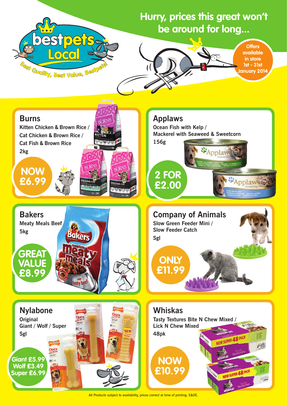

## **Hurry, prices this great won't be around for long...**



All Products subject to availability, prices correct at time of printing. E&OE.

## **Applaws**

**Ocean Fish with Kelp / Mackerel with Seaweed & Sweetcorn**

**Company of Animals**

**Slow Green Feeder Mini /** 

**Slow Feeder Catch**

**Sgl**



## **Whiskas**

**Tasty Textures Bite N Chew Mixed / Lick N Chew Mixed 48pk**

335

 $\overline{\mathcal{L}}_{\text{cheW}}$ 

NEW SUPER 48 PACK

NEW SUPER 48 PACK





**NOW** 



**£10.99**

**ONLY** 

**£11.99**